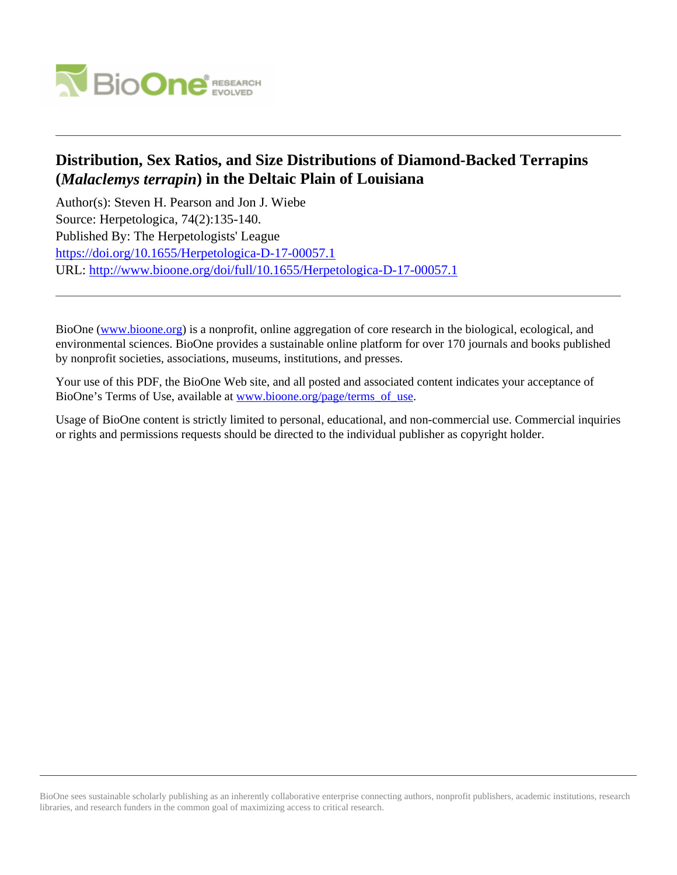

# **Distribution, Sex Ratios, and Size Distributions of Diamond-Backed Terrapins (***Malaclemys terrapin***) in the Deltaic Plain of Louisiana**

Author(s): Steven H. Pearson and Jon J. Wiebe Source: Herpetologica, 74(2):135-140. Published By: The Herpetologists' League https://doi.org/10.1655/Herpetologica-D-17-00057.1 URL: http://www.bioone.org/doi/full/10.1655/Herpetologica-D-17-00057.1

BioOne (www.bioone.org) is a nonprofit, online aggregation of core research in the biological, ecological, and environmental sciences. BioOne provides a sustainable online platform for over 170 journals and books published by nonprofit societies, associations, museums, institutions, and presses.

Your use of this PDF, the BioOne Web site, and all posted and associated content indicates your acceptance of BioOne's Terms of Use, available at www.bioone.org/page/terms\_of\_use.

Usage of BioOne content is strictly limited to personal, educational, and non-commercial use. Commercial inquiries or rights and permissions requests should be directed to the individual publisher as copyright holder.

BioOne sees sustainable scholarly publishing as an inherently collaborative enterprise connecting authors, nonprofit publishers, academic institutions, research libraries, and research funders in the common goal of maximizing access to critical research.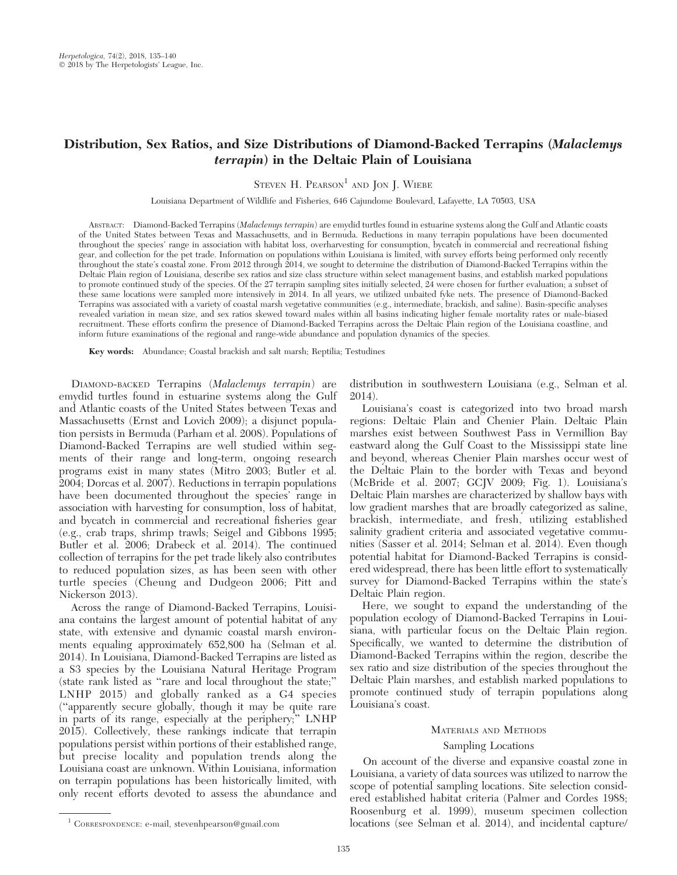# Distribution, Sex Ratios, and Size Distributions of Diamond-Backed Terrapins (Malaclemys terrapin) in the Deltaic Plain of Louisiana

STEVEN H. PEARSON<sup>1</sup> AND JON J. WIEBE

Louisiana Department of Wildlife and Fisheries, 646 Cajundome Boulevard, Lafayette, LA 70503, USA

ABSTRACT: Diamond-Backed Terrapins (Malaclemys terrapin) are emydid turtles found in estuarine systems along the Gulf and Atlantic coasts of the United States between Texas and Massachusetts, and in Bermuda. Reductions in many terrapin populations have been documented throughout the species' range in association with habitat loss, overharvesting for consumption, bycatch in commercial and recreational fishing gear, and collection for the pet trade. Information on populations within Louisiana is limited, with survey efforts being performed only recently throughout the state's coastal zone. From 2012 through 2014, we sought to determine the distribution of Diamond-Backed Terrapins within the Deltaic Plain region of Louisiana, describe sex ratios and size class structure within select management basins, and establish marked populations to promote continued study of the species. Of the 27 terrapin sampling sites initially selected, 24 were chosen for further evaluation; a subset of these same locations were sampled more intensively in 2014. In all years, we utilized unbaited fyke nets. The presence of Diamond-Backed Terrapins was associated with a variety of coastal marsh vegetative communities (e.g., intermediate, brackish, and saline). Basin-specific analyses revealed variation in mean size, and sex ratios skewed toward males within all basins indicating higher female mortality rates or male-biased recruitment. These efforts confirm the presence of Diamond-Backed Terrapins across the Deltaic Plain region of the Louisiana coastline, and inform future examinations of the regional and range-wide abundance and population dynamics of the species.

Key words: Abundance; Coastal brackish and salt marsh; Reptilia; Testudines

DIAMOND-BACKED Terrapins (Malaclemys terrapin) are emydid turtles found in estuarine systems along the Gulf and Atlantic coasts of the United States between Texas and Massachusetts (Ernst and Lovich 2009); a disjunct population persists in Bermuda (Parham et al. 2008). Populations of Diamond-Backed Terrapins are well studied within segments of their range and long-term, ongoing research programs exist in many states (Mitro 2003; Butler et al. 2004; Dorcas et al. 2007). Reductions in terrapin populations have been documented throughout the species' range in association with harvesting for consumption, loss of habitat, and bycatch in commercial and recreational fisheries gear (e.g., crab traps, shrimp trawls; Seigel and Gibbons 1995; Butler et al. 2006; Drabeck et al. 2014). The continued collection of terrapins for the pet trade likely also contributes to reduced population sizes, as has been seen with other turtle species (Cheung and Dudgeon 2006; Pitt and Nickerson 2013).

Across the range of Diamond-Backed Terrapins, Louisiana contains the largest amount of potential habitat of any state, with extensive and dynamic coastal marsh environments equaling approximately 652,800 ha (Selman et al. 2014). In Louisiana, Diamond-Backed Terrapins are listed as a S3 species by the Louisiana Natural Heritage Program (state rank listed as ''rare and local throughout the state;'' LNHP 2015) and globally ranked as a G4 species (''apparently secure globally, though it may be quite rare in parts of its range, especially at the periphery;'' LNHP 2015). Collectively, these rankings indicate that terrapin populations persist within portions of their established range, but precise locality and population trends along the Louisiana coast are unknown. Within Louisiana, information on terrapin populations has been historically limited, with only recent efforts devoted to assess the abundance and

distribution in southwestern Louisiana (e.g., Selman et al. 2014).

Louisiana's coast is categorized into two broad marsh regions: Deltaic Plain and Chenier Plain. Deltaic Plain marshes exist between Southwest Pass in Vermillion Bay eastward along the Gulf Coast to the Mississippi state line and beyond, whereas Chenier Plain marshes occur west of the Deltaic Plain to the border with Texas and beyond (McBride et al. 2007; GCJV 2009; Fig. 1). Louisiana's Deltaic Plain marshes are characterized by shallow bays with low gradient marshes that are broadly categorized as saline, brackish, intermediate, and fresh, utilizing established salinity gradient criteria and associated vegetative communities (Sasser et al. 2014; Selman et al. 2014). Even though potential habitat for Diamond-Backed Terrapins is considered widespread, there has been little effort to systematically survey for Diamond-Backed Terrapins within the state's Deltaic Plain region.

Here, we sought to expand the understanding of the population ecology of Diamond-Backed Terrapins in Louisiana, with particular focus on the Deltaic Plain region. Specifically, we wanted to determine the distribution of Diamond-Backed Terrapins within the region, describe the sex ratio and size distribution of the species throughout the Deltaic Plain marshes, and establish marked populations to promote continued study of terrapin populations along Louisiana's coast.

# MATERIALS AND METHODS

#### Sampling Locations

On account of the diverse and expansive coastal zone in Louisiana, a variety of data sources was utilized to narrow the scope of potential sampling locations. Site selection considered established habitat criteria (Palmer and Cordes 1988; Roosenburg et al. 1999), museum specimen collection <sup>1</sup> CORRESPONDENCE: e-mail, stevenhpearson@gmail.com locations (see Selman et al. 2014), and incidental capture/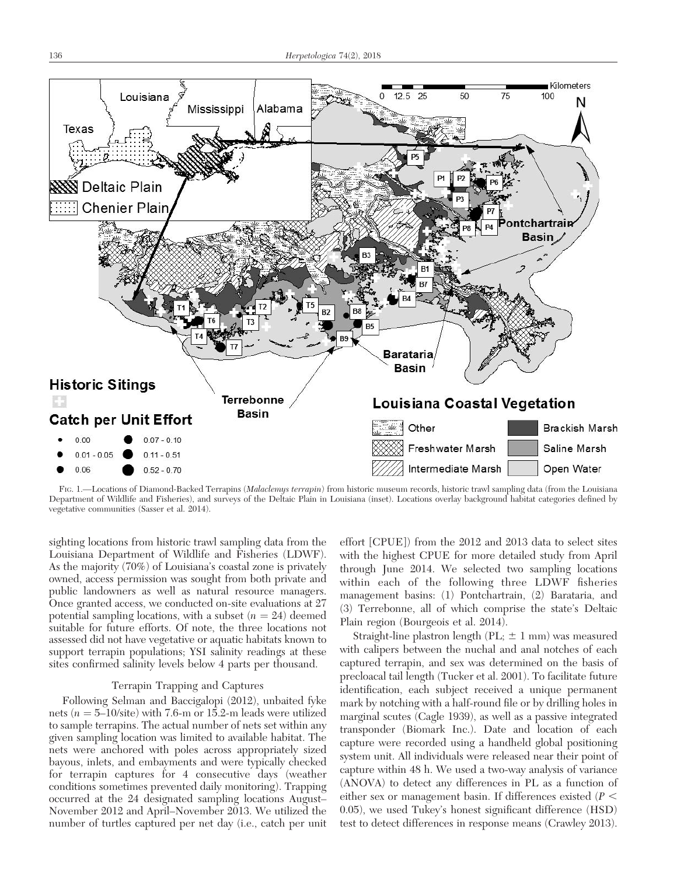

FIG. 1.—Locations of Diamond-Backed Terrapins (Malaclemys terrapin) from historic museum records, historic trawl sampling data (from the Louisiana Department of Wildlife and Fisheries), and surveys of the Deltaic Plain in Louisiana (inset). Locations overlay background habitat categories defined by vegetative communities (Sasser et al. 2014).

sighting locations from historic trawl sampling data from the Louisiana Department of Wildlife and Fisheries (LDWF). As the majority (70%) of Louisiana's coastal zone is privately owned, access permission was sought from both private and public landowners as well as natural resource managers. Once granted access, we conducted on-site evaluations at 27 potential sampling locations, with a subset  $(n = 24)$  deemed suitable for future efforts. Of note, the three locations not assessed did not have vegetative or aquatic habitats known to support terrapin populations; YSI salinity readings at these sites confirmed salinity levels below 4 parts per thousand.

# Terrapin Trapping and Captures

Following Selman and Baccigalopi (2012), unbaited fyke nets ( $n = 5-10$ /site) with 7.6-m or 15.2-m leads were utilized to sample terrapins. The actual number of nets set within any given sampling location was limited to available habitat. The nets were anchored with poles across appropriately sized bayous, inlets, and embayments and were typically checked for terrapin captures for 4 consecutive days (weather conditions sometimes prevented daily monitoring). Trapping occurred at the 24 designated sampling locations August– November 2012 and April–November 2013. We utilized the number of turtles captured per net day (i.e., catch per unit

effort [CPUE]) from the 2012 and 2013 data to select sites with the highest CPUE for more detailed study from April through June 2014. We selected two sampling locations within each of the following three LDWF fisheries management basins: (1) Pontchartrain, (2) Barataria, and (3) Terrebonne, all of which comprise the state's Deltaic Plain region (Bourgeois et al. 2014).

Straight-line plastron length (PL;  $\pm$  1 mm) was measured with calipers between the nuchal and anal notches of each captured terrapin, and sex was determined on the basis of precloacal tail length (Tucker et al. 2001). To facilitate future identification, each subject received a unique permanent mark by notching with a half-round file or by drilling holes in marginal scutes (Cagle 1939), as well as a passive integrated transponder (Biomark Inc.). Date and location of each capture were recorded using a handheld global positioning system unit. All individuals were released near their point of capture within 48 h. We used a two-way analysis of variance (ANOVA) to detect any differences in PL as a function of either sex or management basin. If differences existed ( $P$  < 0.05), we used Tukey's honest significant difference (HSD) test to detect differences in response means (Crawley 2013).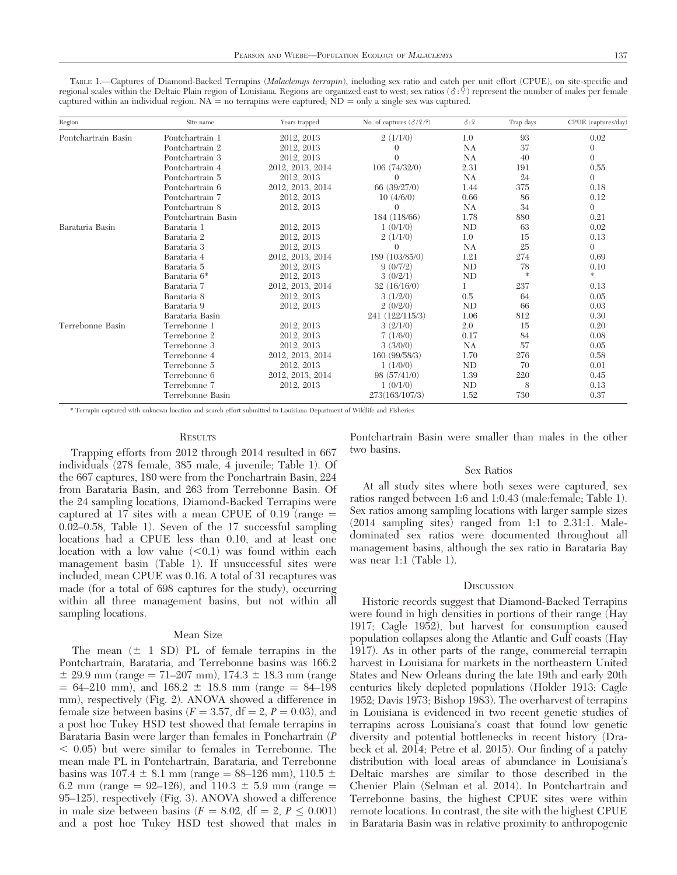|     | ×             |   |
|-----|---------------|---|
|     | K.<br>۰.<br>× |   |
| - 1 | $\sim$        | × |

TABLE 1.—Captures of Diamond-Backed Terrapins (Malaclemys terrapin), including sex ratio and catch per unit effort (CPUE), on site-specific and regional scales within the Deltaic Plain region of Louisiana. Regions are organized east to west; sex ratios ( $\delta:\hat{\mathcal{Q}}$ ) represent the number of males per female captured within an individual region.  $NA =$  no terrapins were captured;  $ND =$  only a single sex was captured.

| Region              | Site name           | Years trapped    | No. of captures $(\partial/\partial \rho)$ | $\delta$ : $\Omega$ | Trap days | CPUE (captures/day) |
|---------------------|---------------------|------------------|--------------------------------------------|---------------------|-----------|---------------------|
| Pontchartrain Basin | Pontchartrain 1     | 2012, 2013       | 2(1/1/0)                                   | 1.0                 | 93        | 0.02                |
|                     | Pontchartrain 2     | 2012, 2013       |                                            | <b>NA</b>           | 37        | $\theta$            |
|                     | Pontchartrain 3     | 2012, 2013       | $\theta$                                   | NA                  | 40        | $\theta$            |
|                     | Pontchartrain 4     | 2012, 2013, 2014 | 106(74/32/0)                               | 2.31                | 191       | 0.55                |
|                     | Pontchartrain 5     | 2012, 2013       | $\theta$                                   | <b>NA</b>           | 24        | $\theta$            |
|                     | Pontchartrain 6     | 2012, 2013, 2014 | 66 (39/27/0)                               | 1.44                | 375       | 0.18                |
|                     | Pontchartrain 7     | 2012, 2013       | 10(4/6/0)                                  | 0.66                | 86        | 0.12                |
|                     | Pontchartrain 8     | 2012, 2013       | $\Omega$                                   | <b>NA</b>           | 34        | $\Omega$            |
|                     | Pontchartrain Basin |                  | 184 (118/66)                               | 1.78                | 880       | 0.21                |
| Barataria Basin     | Barataria 1         | 2012, 2013       | 1(0/1/0)                                   | <b>ND</b>           | 63        | 0.02                |
|                     | Barataria 2         | 2012, 2013       | 2(1/1/0)                                   | 1.0                 | 15        | 0.13                |
|                     | Barataria 3         | 2012, 2013       | $\theta$                                   | <b>NA</b>           | 25        | $\Omega$            |
|                     | Barataria 4         | 2012, 2013, 2014 | 189 (103/85/0)                             | 1.21                | 274       | 0.69                |
|                     | Barataria 5         | 2012, 2013       | 9(0/7/2)                                   | <b>ND</b>           | 78        | 0.10                |
|                     | Barataria 6*        | 2012, 2013       | 3(0/2/1)                                   | ND                  | $\ast$    | *                   |
|                     | Barataria 7         | 2012, 2013, 2014 | 32(16/16/0)                                |                     | 237       | 0.13                |
|                     | Barataria 8         | 2012, 2013       | 3(1/2/0)                                   | 0.5                 | 64        | 0.05                |
|                     | Barataria 9         | 2012, 2013       | 2(0/2/0)                                   | <b>ND</b>           | 66        | 0.03                |
|                     | Barataria Basin     |                  | 241 (122/115/3)                            | 1.06                | 812       | 0.30                |
| Terrebonne Basin    | Terrebonne 1        | 2012, 2013       | 3(2/1/0)                                   | 2.0                 | 15        | 0.20                |
|                     | Terrebonne 2        | 2012, 2013       | 7(1/6/0)                                   | 0.17                | 84        | 0.08                |
|                     | Terrebonne 3        | 2012, 2013       | 3(3/0/0)                                   | NA                  | 57        | 0.05                |
|                     | Terrebonne 4        | 2012, 2013, 2014 | 160(99/58/3)                               | 1.70                | 276       | 0.58                |
|                     | Terrebonne 5        | 2012, 2013       | 1(1/0/0)                                   | <b>ND</b>           | 70        | 0.01                |
|                     | Terrebonne 6        | 2012, 2013, 2014 | 98 (57/41/0)                               | 1.39                | 220       | 0.45                |
|                     | Terrebonne 7        | 2012, 2013       | 1(0/1/0)                                   | <b>ND</b>           | 8         | 0.13                |
|                     | Terrebonne Basin    |                  | 273(163/107/3)                             | 1.52                | 730       | 0.37                |

\* Terrapin captured with unknown location and search effort submitted to Louisiana Department of Wildlife and Fisheries.

## **RESULTS**

Trapping efforts from 2012 through 2014 resulted in 667 individuals (278 female, 385 male, 4 juvenile; Table 1). Of the 667 captures, 180 were from the Ponchartrain Basin, 224 from Barataria Basin, and 263 from Terrebonne Basin. Of the 24 sampling locations, Diamond-Backed Terrapins were captured at 17 sites with a mean CPUE of 0.19 (range  $=$ 0.02–0.58, Table 1). Seven of the 17 successful sampling locations had a CPUE less than 0.10, and at least one location with a low value  $(<0.1)$  was found within each management basin (Table 1). If unsuccessful sites were included, mean CPUE was 0.16. A total of 31 recaptures was made (for a total of 698 captures for the study), occurring within all three management basins, but not within all sampling locations.

#### Mean Size

The mean  $(\pm 1$  SD) PL of female terrapins in the Pontchartrain, Barataria, and Terrebonne basins was 166.2  $\pm$  29.9 mm (range = 71–207 mm), 174.3  $\pm$  18.3 mm (range  $= 64-210$  mm), and  $168.2 \pm 18.8$  mm (range  $= 84-198$ mm), respectively (Fig. 2). ANOVA showed a difference in female size between basins ( $F = 3.57$ , df = 2, P = 0.03), and a post hoc Tukey HSD test showed that female terrapins in Barataria Basin were larger than females in Ponchartrain (P  $< 0.05$ ) but were similar to females in Terrebonne. The mean male PL in Pontchartrain, Barataria, and Terrebonne basins was  $107.4 \pm 8.1$  mm (range = 88–126 mm),  $110.5 \pm$ 6.2 mm (range = 92–126), and 110.3  $\pm$  5.9 mm (range = 95–125), respectively (Fig. 3). ANOVA showed a difference in male size between basins  $(F = 8.02, df = 2, P \le 0.001)$ and a post hoc Tukey HSD test showed that males in

Pontchartrain Basin were smaller than males in the other two basins.

### Sex Ratios

At all study sites where both sexes were captured, sex ratios ranged between 1:6 and 1:0.43 (male:female; Table 1). Sex ratios among sampling locations with larger sample sizes (2014 sampling sites) ranged from 1:1 to 2.31:1. Maledominated sex ratios were documented throughout all management basins, although the sex ratio in Barataria Bay was near 1:1 (Table 1).

#### **DISCUSSION**

Historic records suggest that Diamond-Backed Terrapins were found in high densities in portions of their range (Hay 1917; Cagle 1952), but harvest for consumption caused population collapses along the Atlantic and Gulf coasts (Hay 1917). As in other parts of the range, commercial terrapin harvest in Louisiana for markets in the northeastern United States and New Orleans during the late 19th and early 20th centuries likely depleted populations (Holder 1913; Cagle 1952; Davis 1973; Bishop 1983). The overharvest of terrapins in Louisiana is evidenced in two recent genetic studies of terrapins across Louisiana's coast that found low genetic diversity and potential bottlenecks in recent history (Drabeck et al. 2014; Petre et al. 2015). Our finding of a patchy distribution with local areas of abundance in Louisiana's Deltaic marshes are similar to those described in the Chenier Plain (Selman et al. 2014). In Pontchartrain and Terrebonne basins, the highest CPUE sites were within remote locations. In contrast, the site with the highest CPUE in Barataria Basin was in relative proximity to anthropogenic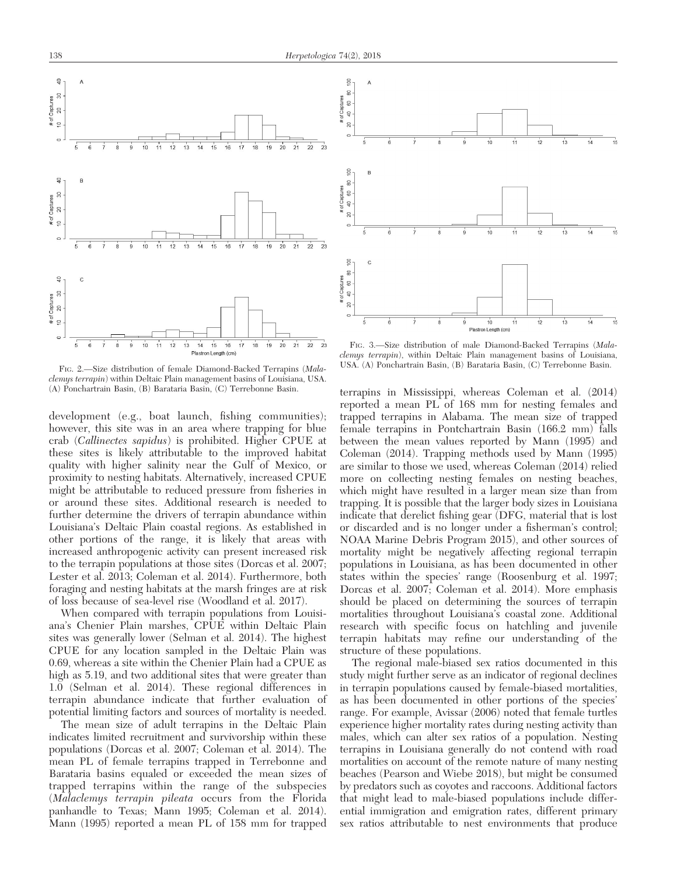

FIG. 2.—Size distribution of female Diamond-Backed Terrapins (Malaclemys terrapin) within Deltaic Plain management basins of Louisiana, USA. (A) Ponchartrain Basin, (B) Barataria Basin, (C) Terrebonne Basin.

development (e.g., boat launch, fishing communities); however, this site was in an area where trapping for blue crab (Callinectes sapidus) is prohibited. Higher CPUE at these sites is likely attributable to the improved habitat quality with higher salinity near the Gulf of Mexico, or proximity to nesting habitats. Alternatively, increased CPUE might be attributable to reduced pressure from fisheries in or around these sites. Additional research is needed to further determine the drivers of terrapin abundance within Louisiana's Deltaic Plain coastal regions. As established in other portions of the range, it is likely that areas with increased anthropogenic activity can present increased risk to the terrapin populations at those sites (Dorcas et al. 2007; Lester et al. 2013; Coleman et al. 2014). Furthermore, both foraging and nesting habitats at the marsh fringes are at risk of loss because of sea-level rise (Woodland et al. 2017).

When compared with terrapin populations from Louisiana's Chenier Plain marshes, CPUE within Deltaic Plain sites was generally lower (Selman et al. 2014). The highest CPUE for any location sampled in the Deltaic Plain was 0.69, whereas a site within the Chenier Plain had a CPUE as high as 5.19, and two additional sites that were greater than 1.0 (Selman et al. 2014). These regional differences in terrapin abundance indicate that further evaluation of potential limiting factors and sources of mortality is needed.

The mean size of adult terrapins in the Deltaic Plain indicates limited recruitment and survivorship within these populations (Dorcas et al. 2007; Coleman et al. 2014). The mean PL of female terrapins trapped in Terrebonne and Barataria basins equaled or exceeded the mean sizes of trapped terrapins within the range of the subspecies (Malaclemys terrapin pileata occurs from the Florida panhandle to Texas; Mann 1995; Coleman et al. 2014). Mann (1995) reported a mean PL of 158 mm for trapped



FIG. 3.—Size distribution of male Diamond-Backed Terrapins (Malaclemys terrapin), within Deltaic Plain management basins of Louisiana, USA. (A) Ponchartrain Basin, (B) Barataria Basin, (C) Terrebonne Basin.

terrapins in Mississippi, whereas Coleman et al. (2014) reported a mean PL of 168 mm for nesting females and trapped terrapins in Alabama. The mean size of trapped female terrapins in Pontchartrain Basin (166.2 mm) falls between the mean values reported by Mann (1995) and Coleman (2014). Trapping methods used by Mann (1995) are similar to those we used, whereas Coleman (2014) relied more on collecting nesting females on nesting beaches, which might have resulted in a larger mean size than from trapping. It is possible that the larger body sizes in Louisiana indicate that derelict fishing gear (DFG, material that is lost or discarded and is no longer under a fisherman's control; NOAA Marine Debris Program 2015), and other sources of mortality might be negatively affecting regional terrapin populations in Louisiana, as has been documented in other states within the species' range (Roosenburg et al. 1997; Dorcas et al. 2007; Coleman et al. 2014). More emphasis should be placed on determining the sources of terrapin mortalities throughout Louisiana's coastal zone. Additional research with specific focus on hatchling and juvenile terrapin habitats may refine our understanding of the structure of these populations.

The regional male-biased sex ratios documented in this study might further serve as an indicator of regional declines in terrapin populations caused by female-biased mortalities, as has been documented in other portions of the species' range. For example, Avissar (2006) noted that female turtles experience higher mortality rates during nesting activity than males, which can alter sex ratios of a population. Nesting terrapins in Louisiana generally do not contend with road mortalities on account of the remote nature of many nesting beaches (Pearson and Wiebe 2018), but might be consumed by predators such as coyotes and raccoons. Additional factors that might lead to male-biased populations include differential immigration and emigration rates, different primary sex ratios attributable to nest environments that produce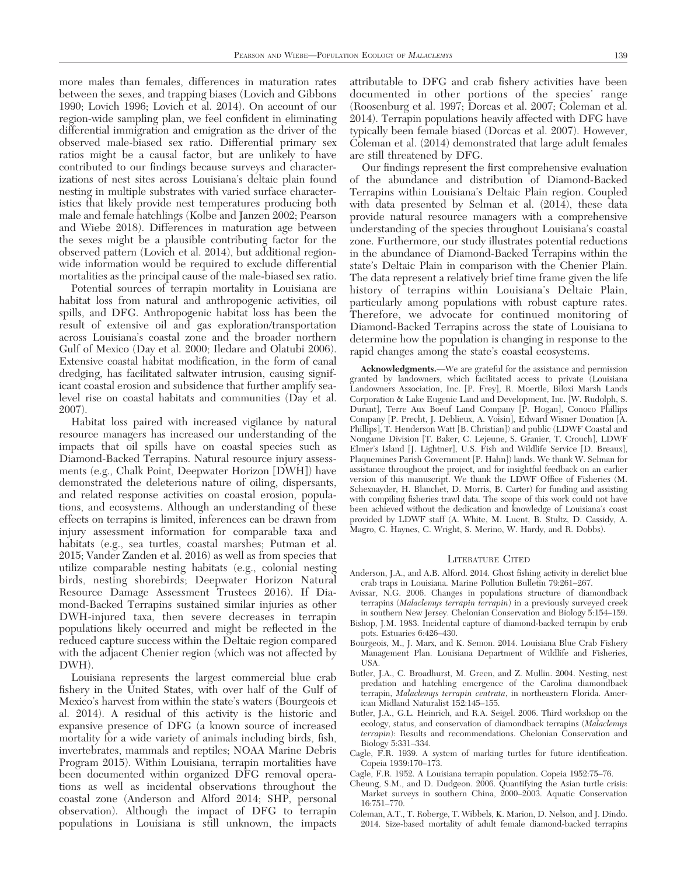more males than females, differences in maturation rates between the sexes, and trapping biases (Lovich and Gibbons 1990; Lovich 1996; Lovich et al. 2014). On account of our region-wide sampling plan, we feel confident in eliminating differential immigration and emigration as the driver of the observed male-biased sex ratio. Differential primary sex ratios might be a causal factor, but are unlikely to have contributed to our findings because surveys and characterizations of nest sites across Louisiana's deltaic plain found nesting in multiple substrates with varied surface characteristics that likely provide nest temperatures producing both male and female hatchlings (Kolbe and Janzen 2002; Pearson and Wiebe 2018). Differences in maturation age between the sexes might be a plausible contributing factor for the observed pattern (Lovich et al. 2014), but additional regionwide information would be required to exclude differential mortalities as the principal cause of the male-biased sex ratio.

Potential sources of terrapin mortality in Louisiana are habitat loss from natural and anthropogenic activities, oil spills, and DFG. Anthropogenic habitat loss has been the result of extensive oil and gas exploration/transportation across Louisiana's coastal zone and the broader northern Gulf of Mexico (Day et al. 2000; Iledare and Olatubi 2006). Extensive coastal habitat modification, in the form of canal dredging, has facilitated saltwater intrusion, causing significant coastal erosion and subsidence that further amplify sealevel rise on coastal habitats and communities (Day et al. 2007).

Habitat loss paired with increased vigilance by natural resource managers has increased our understanding of the impacts that oil spills have on coastal species such as Diamond-Backed Terrapins. Natural resource injury assessments (e.g., Chalk Point, Deepwater Horizon [DWH]) have demonstrated the deleterious nature of oiling, dispersants, and related response activities on coastal erosion, populations, and ecosystems. Although an understanding of these effects on terrapins is limited, inferences can be drawn from injury assessment information for comparable taxa and habitats (e.g., sea turtles, coastal marshes; Putman et al. 2015; Vander Zanden et al. 2016) as well as from species that utilize comparable nesting habitats (e.g., colonial nesting birds, nesting shorebirds; Deepwater Horizon Natural Resource Damage Assessment Trustees 2016). If Diamond-Backed Terrapins sustained similar injuries as other DWH-injured taxa, then severe decreases in terrapin populations likely occurred and might be reflected in the reduced capture success within the Deltaic region compared with the adjacent Chenier region (which was not affected by DWH).

Louisiana represents the largest commercial blue crab fishery in the United States, with over half of the Gulf of Mexico's harvest from within the state's waters (Bourgeois et al. 2014). A residual of this activity is the historic and expansive presence of DFG (a known source of increased mortality for a wide variety of animals including birds, fish, invertebrates, mammals and reptiles; NOAA Marine Debris Program 2015). Within Louisiana, terrapin mortalities have been documented within organized DFG removal operations as well as incidental observations throughout the coastal zone (Anderson and Alford 2014; SHP, personal observation). Although the impact of DFG to terrapin populations in Louisiana is still unknown, the impacts

attributable to DFG and crab fishery activities have been documented in other portions of the species' range (Roosenburg et al. 1997; Dorcas et al. 2007; Coleman et al. 2014). Terrapin populations heavily affected with DFG have typically been female biased (Dorcas et al. 2007). However, Coleman et al. (2014) demonstrated that large adult females are still threatened by DFG.

Our findings represent the first comprehensive evaluation of the abundance and distribution of Diamond-Backed Terrapins within Louisiana's Deltaic Plain region. Coupled with data presented by Selman et al. (2014), these data provide natural resource managers with a comprehensive understanding of the species throughout Louisiana's coastal zone. Furthermore, our study illustrates potential reductions in the abundance of Diamond-Backed Terrapins within the state's Deltaic Plain in comparison with the Chenier Plain. The data represent a relatively brief time frame given the life history of terrapins within Louisiana's Deltaic Plain, particularly among populations with robust capture rates. Therefore, we advocate for continued monitoring of Diamond-Backed Terrapins across the state of Louisiana to determine how the population is changing in response to the rapid changes among the state's coastal ecosystems.

Acknowledgments.—We are grateful for the assistance and permission granted by landowners, which facilitated access to private (Louisiana Landowners Association, Inc. [P. Frey], R. Moertle, Biloxi Marsh Lands Corporation & Lake Eugenie Land and Development, Inc. [W. Rudolph, S. Durant], Terre Aux Boeuf Land Company [P. Hogan], Conoco Phillips Company [P. Precht, J. Deblieux, A. Voisin], Edward Wisner Donation [A. Phillips], T. Henderson Watt [B. Christian]) and public (LDWF Coastal and Nongame Division [T. Baker, C. Lejeune, S. Granier, T. Crouch], LDWF Elmer's Island [J. Lightner], U.S. Fish and Wildlife Service [D. Breaux], Plaquemines Parish Government [P. Hahn]) lands. We thank W. Selman for assistance throughout the project, and for insightful feedback on an earlier version of this manuscript. We thank the LDWF Office of Fisheries (M. Schexnayder, H. Blanchet, D. Morris, B. Carter) for funding and assisting with compiling fisheries trawl data. The scope of this work could not have been achieved without the dedication and knowledge of Louisiana's coast provided by LDWF staff (A. White, M. Luent, B. Stultz, D. Cassidy, A. Magro, C. Haynes, C. Wright, S. Merino, W. Hardy, and R. Dobbs).

#### LITERATURE CITED

- Anderson, J.A., and A.B. Alford. 2014. Ghost fishing activity in derelict blue crab traps in Louisiana. Marine Pollution Bulletin 79:261–267.
- Avissar, N.G. 2006. Changes in populations structure of diamondback terrapins (Malaclemys terrapin terrapin) in a previously surveyed creek in southern New Jersey. Chelonian Conservation and Biology 5:154–159.
- Bishop, J.M. 1983. Incidental capture of diamond-backed terrapin by crab pots. Estuaries 6:426–430.
- Bourgeois, M., J. Marx, and K. Semon. 2014. Louisiana Blue Crab Fishery Management Plan. Louisiana Department of Wildlife and Fisheries, USA.
- Butler, J.A., C. Broadhurst, M. Green, and Z. Mullin. 2004. Nesting, nest predation and hatchling emergence of the Carolina diamondback terrapin, Malaclemys terrapin centrata, in northeastern Florida. American Midland Naturalist 152:145–155.
- Butler, J.A., G.L. Heinrich, and R.A. Seigel. 2006. Third workshop on the ecology, status, and conservation of diamondback terrapins (Malaclemys terrapin): Results and recommendations. Chelonian Conservation and Biology 5:331–334.
- Cagle, F.R. 1939. A system of marking turtles for future identification. Copeia 1939:170–173.
- Cagle, F.R. 1952. A Louisiana terrapin population. Copeia 1952:75–76.
- Cheung, S.M., and D. Dudgeon. 2006. Quantifying the Asian turtle crisis: Market surveys in southern China, 2000–2003. Aquatic Conservation 16:751–770.
- Coleman, A.T., T. Roberge, T. Wibbels, K. Marion, D. Nelson, and J. Dindo. 2014. Size-based mortality of adult female diamond-backed terrapins